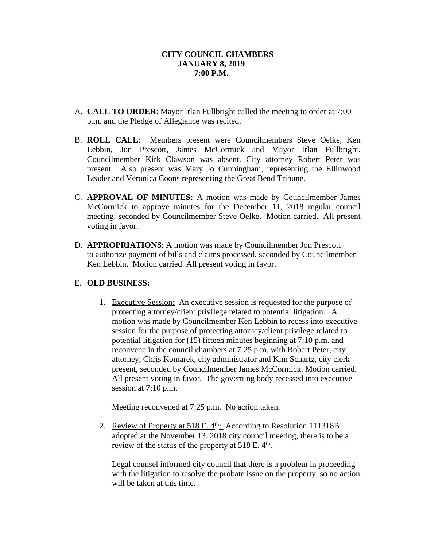- A. **CALL TO ORDER**: Mayor Irlan Fullbright called the meeting to order at 7:00 p.m. and the Pledge of Allegiance was recited.
- B. **ROLL CALL**: Members present were Councilmembers Steve Oelke, Ken Lebbin, Jon Prescott, James McCormick and Mayor Irlan Fullbright. Councilmember Kirk Clawson was absent. City attorney Robert Peter was present. Also present was Mary Jo Cunningham, representing the Ellinwood Leader and Veronica Coons representing the Great Bend Tribune.
- C. **APPROVAL OF MINUTES:** A motion was made by Councilmember James McCormick to approve minutes for the December 11, 2018 regular council meeting, seconded by Councilmember Steve Oelke. Motion carried. All present voting in favor.
- D. **APPROPRIATIONS**: A motion was made by Councilmember Jon Prescott to authorize payment of bills and claims processed, seconded by Councilmember Ken Lebbin. Motion carried. All present voting in favor.

# E. **OLD BUSINESS:**

1. Executive Session: An executive session is requested for the purpose of protecting attorney/client privilege related to potential litigation. A motion was made by Councilmember Ken Lebbin to recess into executive session for the purpose of protecting attorney/client privilege related to potential litigation for (15) fifteen minutes beginning at 7:10 p.m. and reconvene in the council chambers at 7:25 p.m. with Robert Peter, city attorney, Chris Komarek, city administrator and Kim Schartz, city clerk present, seconded by Councilmember James McCormick. Motion carried. All present voting in favor. The governing body recessed into executive session at 7:10 p.m.

Meeting reconvened at 7:25 p.m. No action taken.

2. Review of Property at 518 E.  $4<sup>th</sup>$ . According to Resolution 111318B adopted at the November 13, 2018 city council meeting, there is to be a review of the status of the property at 518 E. 4<sup>th</sup>.

Legal counsel informed city council that there is a problem in proceeding with the litigation to resolve the probate issue on the property, so no action will be taken at this time.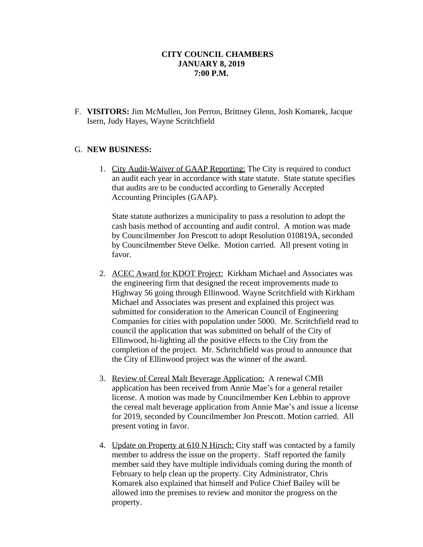F. **VISITORS:** Jim McMullen, Jon Perron, Brittney Glenn, Josh Komarek, Jacque Isern, Judy Hayes, Wayne Scritchfield

## G. **NEW BUSINESS:**

1. City Audit-Waiver of GAAP Reporting: The City is required to conduct an audit each year in accordance with state statute. State statute specifies that audits are to be conducted according to Generally Accepted Accounting Principles (GAAP).

State statute authorizes a municipality to pass a resolution to adopt the cash basis method of accounting and audit control. A motion was made by Councilmember Jon Prescott to adopt Resolution 010819A, seconded by Councilmember Steve Oelke. Motion carried. All present voting in favor.

- 2. ACEC Award for KDOT Project: Kirkham Michael and Associates was the engineering firm that designed the recent improvements made to Highway 56 going through Ellinwood. Wayne Scritchfield with Kirkham Michael and Associates was present and explained this project was submitted for consideration to the American Council of Engineering Companies for cities with population under 5000. Mr. Scritchfield read to council the application that was submitted on behalf of the City of Ellinwood, hi-lighting all the positive effects to the City from the completion of the project. Mr. Schritchfield was proud to announce that the City of Ellinwood project was the winner of the award.
- 3. Review of Cereal Malt Beverage Application: A renewal CMB application has been received from Annie Mae's for a general retailer license. A motion was made by Councilmember Ken Lebbin to approve the cereal malt beverage application from Annie Mae's and issue a license for 2019, seconded by Councilmember Jon Prescott. Motion carried. All present voting in favor.
- 4. Update on Property at 610 N Hirsch: City staff was contacted by a family member to address the issue on the property. Staff reported the family member said they have multiple individuals coming during the month of February to help clean up the property. City Administrator, Chris Komarek also explained that himself and Police Chief Bailey will be allowed into the premises to review and monitor the progress on the property.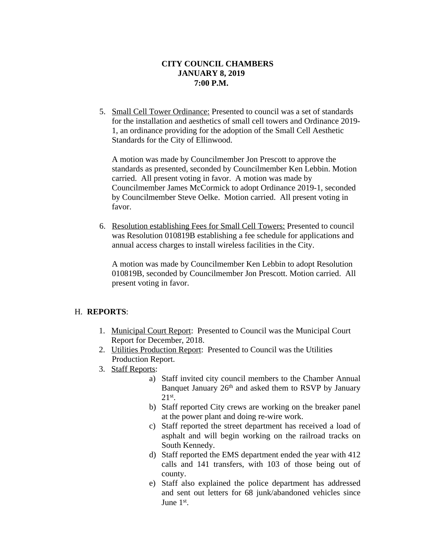5. Small Cell Tower Ordinance: Presented to council was a set of standards for the installation and aesthetics of small cell towers and Ordinance 2019- 1, an ordinance providing for the adoption of the Small Cell Aesthetic Standards for the City of Ellinwood.

A motion was made by Councilmember Jon Prescott to approve the standards as presented, seconded by Councilmember Ken Lebbin. Motion carried. All present voting in favor. A motion was made by Councilmember James McCormick to adopt Ordinance 2019-1, seconded by Councilmember Steve Oelke. Motion carried. All present voting in favor.

6. Resolution establishing Fees for Small Cell Towers: Presented to council was Resolution 010819B establishing a fee schedule for applications and annual access charges to install wireless facilities in the City.

A motion was made by Councilmember Ken Lebbin to adopt Resolution 010819B, seconded by Councilmember Jon Prescott. Motion carried. All present voting in favor.

### H. **REPORTS**:

- 1. Municipal Court Report: Presented to Council was the Municipal Court Report for December, 2018.
- 2. Utilities Production Report: Presented to Council was the Utilities Production Report.
- 3. Staff Reports:
	- a) Staff invited city council members to the Chamber Annual Banquet January 26th and asked them to RSVP by January 21st .
	- b) Staff reported City crews are working on the breaker panel at the power plant and doing re-wire work.
	- c) Staff reported the street department has received a load of asphalt and will begin working on the railroad tracks on South Kennedy.
	- d) Staff reported the EMS department ended the year with 412 calls and 141 transfers, with 103 of those being out of county.
	- e) Staff also explained the police department has addressed and sent out letters for 68 junk/abandoned vehicles since June 1<sup>st</sup>.